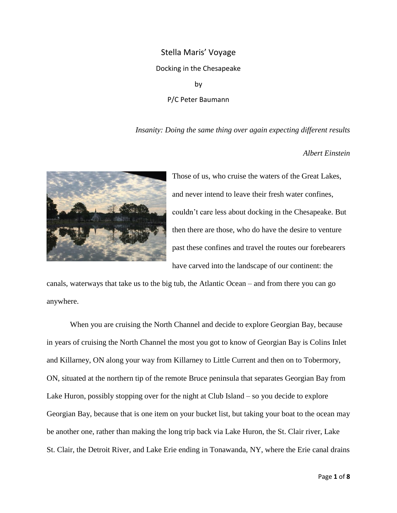## Stella Maris' Voyage Docking in the Chesapeake by

P/C Peter Baumann

*Insanity: Doing the same thing over again expecting different results*

*Albert Einstein*



Those of us, who cruise the waters of the Great Lakes, and never intend to leave their fresh water confines, couldn't care less about docking in the Chesapeake. But then there are those, who do have the desire to venture past these confines and travel the routes our forebearers have carved into the landscape of our continent: the

canals, waterways that take us to the big tub, the Atlantic Ocean – and from there you can go anywhere.

When you are cruising the North Channel and decide to explore Georgian Bay, because in years of cruising the North Channel the most you got to know of Georgian Bay is Colins Inlet and Killarney, ON along your way from Killarney to Little Current and then on to Tobermory, ON, situated at the northern tip of the remote Bruce peninsula that separates Georgian Bay from Lake Huron, possibly stopping over for the night at Club Island – so you decide to explore Georgian Bay, because that is one item on your bucket list, but taking your boat to the ocean may be another one, rather than making the long trip back via Lake Huron, the St. Clair river, Lake St. Clair, the Detroit River, and Lake Erie ending in Tonawanda, NY, where the Erie canal drains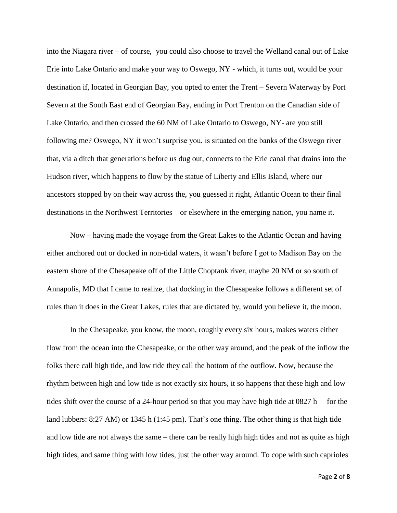into the Niagara river – of course, you could also choose to travel the Welland canal out of Lake Erie into Lake Ontario and make your way to Oswego, NY - which, it turns out, would be your destination if, located in Georgian Bay, you opted to enter the Trent – Severn Waterway by Port Severn at the South East end of Georgian Bay, ending in Port Trenton on the Canadian side of Lake Ontario, and then crossed the 60 NM of Lake Ontario to Oswego, NY- are you still following me? Oswego, NY it won't surprise you, is situated on the banks of the Oswego river that, via a ditch that generations before us dug out, connects to the Erie canal that drains into the Hudson river, which happens to flow by the statue of Liberty and Ellis Island, where our ancestors stopped by on their way across the, you guessed it right, Atlantic Ocean to their final destinations in the Northwest Territories – or elsewhere in the emerging nation, you name it.

Now – having made the voyage from the Great Lakes to the Atlantic Ocean and having either anchored out or docked in non-tidal waters, it wasn't before I got to Madison Bay on the eastern shore of the Chesapeake off of the Little Choptank river, maybe 20 NM or so south of Annapolis, MD that I came to realize, that docking in the Chesapeake follows a different set of rules than it does in the Great Lakes, rules that are dictated by, would you believe it, the moon.

In the Chesapeake, you know, the moon, roughly every six hours, makes waters either flow from the ocean into the Chesapeake, or the other way around, and the peak of the inflow the folks there call high tide, and low tide they call the bottom of the outflow. Now, because the rhythm between high and low tide is not exactly six hours, it so happens that these high and low tides shift over the course of a 24-hour period so that you may have high tide at  $0827$  h – for the land lubbers: 8:27 AM) or 1345 h (1:45 pm). That's one thing. The other thing is that high tide and low tide are not always the same – there can be really high high tides and not as quite as high high tides, and same thing with low tides, just the other way around. To cope with such caprioles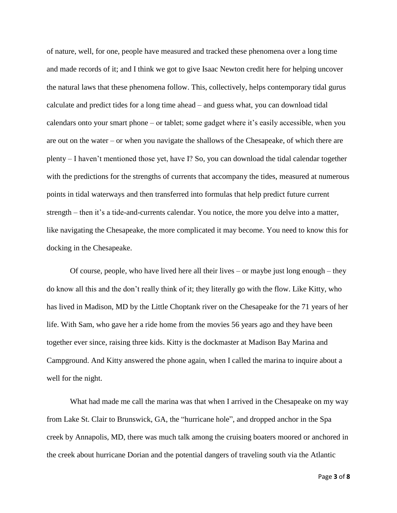of nature, well, for one, people have measured and tracked these phenomena over a long time and made records of it; and I think we got to give Isaac Newton credit here for helping uncover the natural laws that these phenomena follow. This, collectively, helps contemporary tidal gurus calculate and predict tides for a long time ahead – and guess what, you can download tidal calendars onto your smart phone – or tablet; some gadget where it's easily accessible, when you are out on the water – or when you navigate the shallows of the Chesapeake, of which there are plenty – I haven't mentioned those yet, have I? So, you can download the tidal calendar together with the predictions for the strengths of currents that accompany the tides, measured at numerous points in tidal waterways and then transferred into formulas that help predict future current strength – then it's a tide-and-currents calendar. You notice, the more you delve into a matter, like navigating the Chesapeake, the more complicated it may become. You need to know this for docking in the Chesapeake.

Of course, people, who have lived here all their lives – or maybe just long enough – they do know all this and the don't really think of it; they literally go with the flow. Like Kitty, who has lived in Madison, MD by the Little Choptank river on the Chesapeake for the 71 years of her life. With Sam, who gave her a ride home from the movies 56 years ago and they have been together ever since, raising three kids. Kitty is the dockmaster at Madison Bay Marina and Campground. And Kitty answered the phone again, when I called the marina to inquire about a well for the night.

What had made me call the marina was that when I arrived in the Chesapeake on my way from Lake St. Clair to Brunswick, GA, the "hurricane hole", and dropped anchor in the Spa creek by Annapolis, MD, there was much talk among the cruising boaters moored or anchored in the creek about hurricane Dorian and the potential dangers of traveling south via the Atlantic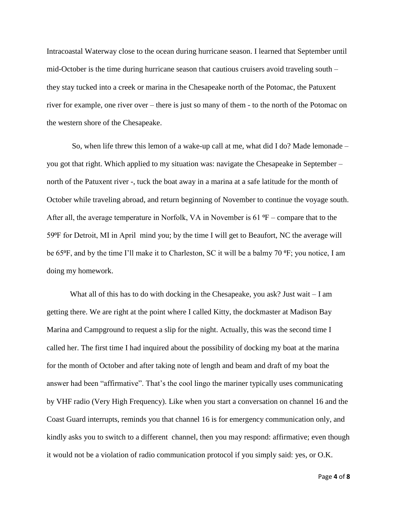Intracoastal Waterway close to the ocean during hurricane season. I learned that September until mid-October is the time during hurricane season that cautious cruisers avoid traveling south – they stay tucked into a creek or marina in the Chesapeake north of the Potomac, the Patuxent river for example, one river over – there is just so many of them - to the north of the Potomac on the western shore of the Chesapeake.

So, when life threw this lemon of a wake-up call at me, what did I do? Made lemonade – you got that right. Which applied to my situation was: navigate the Chesapeake in September – north of the Patuxent river -, tuck the boat away in a marina at a safe latitude for the month of October while traveling abroad, and return beginning of November to continue the voyage south. After all, the average temperature in Norfolk, VA in November is 61  $\textdegree$ F – compare that to the 59⁰F for Detroit, MI in April mind you; by the time I will get to Beaufort, NC the average will be 65<sup>o</sup>F, and by the time I'll make it to Charleston, SC it will be a balmy 70 <sup>o</sup>F; you notice, I am doing my homework.

What all of this has to do with docking in the Chesapeake, you ask? Just wait – I am getting there. We are right at the point where I called Kitty, the dockmaster at Madison Bay Marina and Campground to request a slip for the night. Actually, this was the second time I called her. The first time I had inquired about the possibility of docking my boat at the marina for the month of October and after taking note of length and beam and draft of my boat the answer had been "affirmative". That's the cool lingo the mariner typically uses communicating by VHF radio (Very High Frequency). Like when you start a conversation on channel 16 and the Coast Guard interrupts, reminds you that channel 16 is for emergency communication only, and kindly asks you to switch to a different channel, then you may respond: affirmative; even though it would not be a violation of radio communication protocol if you simply said: yes, or O.K.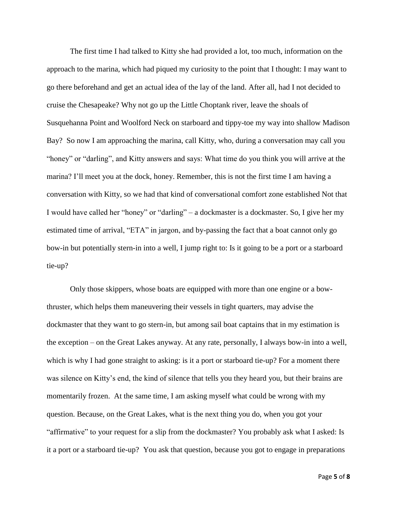The first time I had talked to Kitty she had provided a lot, too much, information on the approach to the marina, which had piqued my curiosity to the point that I thought: I may want to go there beforehand and get an actual idea of the lay of the land. After all, had I not decided to cruise the Chesapeake? Why not go up the Little Choptank river, leave the shoals of Susquehanna Point and Woolford Neck on starboard and tippy-toe my way into shallow Madison Bay? So now I am approaching the marina, call Kitty, who, during a conversation may call you "honey" or "darling", and Kitty answers and says: What time do you think you will arrive at the marina? I'll meet you at the dock, honey. Remember, this is not the first time I am having a conversation with Kitty, so we had that kind of conversational comfort zone established Not that I would have called her "honey" or "darling" – a dockmaster is a dockmaster. So, I give her my estimated time of arrival, "ETA" in jargon, and by-passing the fact that a boat cannot only go bow-in but potentially stern-in into a well, I jump right to: Is it going to be a port or a starboard tie-up?

Only those skippers, whose boats are equipped with more than one engine or a bowthruster, which helps them maneuvering their vessels in tight quarters, may advise the dockmaster that they want to go stern-in, but among sail boat captains that in my estimation is the exception – on the Great Lakes anyway. At any rate, personally, I always bow-in into a well, which is why I had gone straight to asking: is it a port or starboard tie-up? For a moment there was silence on Kitty's end, the kind of silence that tells you they heard you, but their brains are momentarily frozen. At the same time, I am asking myself what could be wrong with my question. Because, on the Great Lakes, what is the next thing you do, when you got your "affirmative" to your request for a slip from the dockmaster? You probably ask what I asked: Is it a port or a starboard tie-up? You ask that question, because you got to engage in preparations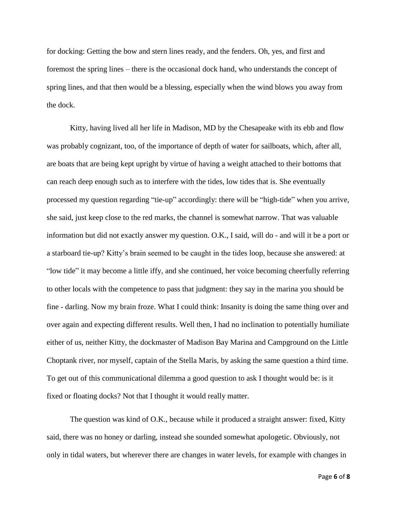for docking: Getting the bow and stern lines ready, and the fenders. Oh, yes, and first and foremost the spring lines – there is the occasional dock hand, who understands the concept of spring lines, and that then would be a blessing, especially when the wind blows you away from the dock.

Kitty, having lived all her life in Madison, MD by the Chesapeake with its ebb and flow was probably cognizant, too, of the importance of depth of water for sailboats, which, after all, are boats that are being kept upright by virtue of having a weight attached to their bottoms that can reach deep enough such as to interfere with the tides, low tides that is. She eventually processed my question regarding "tie-up" accordingly: there will be "high-tide" when you arrive, she said, just keep close to the red marks, the channel is somewhat narrow. That was valuable information but did not exactly answer my question. O.K., I said, will do - and will it be a port or a starboard tie-up? Kitty's brain seemed to be caught in the tides loop, because she answered: at "low tide" it may become a little iffy, and she continued, her voice becoming cheerfully referring to other locals with the competence to pass that judgment: they say in the marina you should be fine - darling. Now my brain froze. What I could think: Insanity is doing the same thing over and over again and expecting different results. Well then, I had no inclination to potentially humiliate either of us, neither Kitty, the dockmaster of Madison Bay Marina and Campground on the Little Choptank river, nor myself, captain of the Stella Maris, by asking the same question a third time. To get out of this communicational dilemma a good question to ask I thought would be: is it fixed or floating docks? Not that I thought it would really matter.

The question was kind of O.K., because while it produced a straight answer: fixed, Kitty said, there was no honey or darling, instead she sounded somewhat apologetic. Obviously, not only in tidal waters, but wherever there are changes in water levels, for example with changes in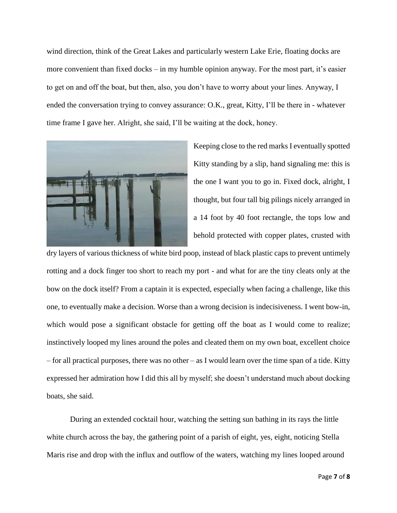wind direction, think of the Great Lakes and particularly western Lake Erie, floating docks are more convenient than fixed docks – in my humble opinion anyway. For the most part, it's easier to get on and off the boat, but then, also, you don't have to worry about your lines. Anyway, I ended the conversation trying to convey assurance: O.K., great, Kitty, I'll be there in - whatever time frame I gave her. Alright, she said, I'll be waiting at the dock, honey.



Keeping close to the red marks I eventually spotted Kitty standing by a slip, hand signaling me: this is the one I want you to go in. Fixed dock, alright, I thought, but four tall big pilings nicely arranged in a 14 foot by 40 foot rectangle, the tops low and behold protected with copper plates, crusted with

dry layers of various thickness of white bird poop, instead of black plastic caps to prevent untimely rotting and a dock finger too short to reach my port - and what for are the tiny cleats only at the bow on the dock itself? From a captain it is expected, especially when facing a challenge, like this one, to eventually make a decision. Worse than a wrong decision is indecisiveness. I went bow-in, which would pose a significant obstacle for getting off the boat as I would come to realize; instinctively looped my lines around the poles and cleated them on my own boat, excellent choice – for all practical purposes, there was no other – as I would learn over the time span of a tide. Kitty expressed her admiration how I did this all by myself; she doesn't understand much about docking boats, she said.

During an extended cocktail hour, watching the setting sun bathing in its rays the little white church across the bay, the gathering point of a parish of eight, yes, eight, noticing Stella Maris rise and drop with the influx and outflow of the waters, watching my lines looped around